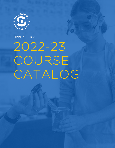

# UPPER SCHOOL

# 2022-23 COURSE CATALOG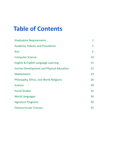# **Table of Contents**

| <b>Graduation Requirements</b>                  | $\mathbf{1}$   |
|-------------------------------------------------|----------------|
| <b>Academic Policies and Procedures</b>         | $\overline{2}$ |
| Arts                                            | 5              |
| <b>Computer Science</b>                         | 14             |
| English & English Language Learning             | 15             |
| <b>Human Development and Physical Education</b> | 21             |
| <b>Mathematics</b>                              | 23             |
| Philosophy, Ethics, and World Religions         | 26             |
| <b>Science</b>                                  | 28             |
| <b>Social Studies</b>                           | 32             |
| <b>World Languages</b>                          | 36             |
| <b>Signature Programs</b>                       | 39             |
| <b>Extracurricular Courses</b>                  | 41             |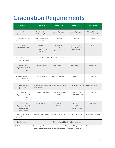# Graduation Requirements

| <b>SUBJECT</b>                                                                  | <b>GRADE 9</b>                                                                                                         | <b>GRADE 10</b>                              | <b>GRADE 11</b>                               | <b>GRADE 12</b>                        |
|---------------------------------------------------------------------------------|------------------------------------------------------------------------------------------------------------------------|----------------------------------------------|-----------------------------------------------|----------------------------------------|
| Arts<br>(1 year required)                                                       | Visual, Digital, or<br>Performing Arts                                                                                 | Visual, Digital, or<br>Performing Arts       | Visual, Digital, or<br>Performing Arts        | Visual, Digital, or<br>Performing Arts |
| Computer Science<br>(1 semester required)                                       | Intro to Computer Science<br>(1 semester)                                                                              | Electives                                    | Electives                                     | Electives                              |
| English<br>(4 years required)                                                   | English 9<br><b>OR</b><br><b>ELL Literature &amp;</b><br>Composition                                                   | English 10<br><b>OR</b><br>English 10 Honors | English 11 OR<br>AP Language &<br>Composition | Electives                              |
| Human Development<br>(2 years required)                                         | Human Development 1                                                                                                    | Human Development 2                          |                                               |                                        |
| <b>Mathematics</b><br>(3 years required; 4<br>years strongly<br>recommended)    | <b>Mathematics</b>                                                                                                     | <b>Mathematics</b>                           | Mathematics                                   | Mathematics                            |
| Philosophy, Ethics &<br>World Religions<br>(3 years required)                   | <b>Global Studies</b>                                                                                                  | Myth and Meaning                             | Social Justice                                | Electives                              |
| Physical Education<br>(12 credits)                                              | For additional information about how to earn credits, see the Human Development & Physical Education<br>section below. |                                              |                                               |                                        |
| Science<br>(3 years required; 4<br>years strongly<br>recommended)               | <b>Conceptual Physics</b>                                                                                              | Biology or Biology<br>Honors                 | Chemistry or<br><b>Chemistry Honors</b>       | Electives                              |
| <b>Social Studies</b><br>(3 years required; 4<br>years strongly<br>recommended) | <b>Global Studies</b>                                                                                                  | Modern World<br>History                      | <b>US History</b><br>OR<br>AP US History      | Electives                              |
| World Languages<br>(Completion of level 3)                                      | Mandarin or Spanish                                                                                                    | Mandarin or Spanish                          | Mandarin or Spanish                           | Mandarin or Spanish                    |
| Service Learning                                                                | Completion of ROSE Project required.                                                                                   |                                              |                                               |                                        |

Students who transfer to San Domenico after beginning high school elsewhere will be assessed for graduation requirements based on the *courses completed at their prior school in addition to those at San Domenico.*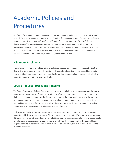# Academic Policies and Procedures

*San Domenico graduation requirements are intended to prepare graduates for success in college and* beyond. Each department offers a wide range of options for students to explore in order to satisfy these *requirements. We seek to provide students with multiple and varied opportunities to challenge themselves and be successful in every year of learning. As such, there is no one "right" path to successfully complete our program. We encourage students to avail themselves of the breadth of San Domenico's academic program to explore their interests, choose courses at an appropriate level of challenge, and prepare for the college admission process in senior year.*

# **Minimum Enrollment**

Students are expected to enroll in a minimum of six core academic courses per semester. During the Course Change Request process at the start of each semester, students will be expected to maintain enrollment in six courses. Any student requesting fewer than six courses in a semester must submit a request for approval to the Dean of Academics.

# **Course Request Process and Timeline**

The Dean of Academics, College Counselors, and Department Chairs provide an overview of the course request process and course offerings in early March. After these presentations, each student receives their course recommendations for the following year. During the three-week course advising process, students are supported in giving consideration to graduation requirements, extracurricular activities, and personal interests in an effort to create a balanced and appropriately challenging academic schedule. Students receive their course schedules the first week of August.

Each semester begins with a two-week Course Change Request period, during which students may request to add, drop, or change a course. These requests may be submitted for a variety of reasons, and this period is to ensure that students are enrolled in as many of their course preferences as the schedule will allow, and at the appropriate level. Requests to withdraw from a course after the Course Change Request deadline must receive approval from the Dean of Academics, and may result in a "W" on the student's transcript.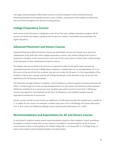The Upper School Academic Office does its best to enroll all students in their preferred courses. Scheduling limitations occasionally present course conflicts, and we work with students to determine their priorities throughout this decision-making process.

# **College Preparatory Courses**

Each course at San Domenico is designed as part of our four-year college preparatory program. All SD courses are held to the highest standard and are part of a student's foundation and preparation for higher education.

# **Advanced Placement and Honors Courses**

Advanced Placement (AP) and Honors courses are accelerated courses and require more work and independent study skills than other college-preparatory courses. Any student taking an AP course is required to complete an AP Contract form at the start of the school year to confirm their understanding of the demands of these advanced and rigorous classes.

All students who are enrolled in AP courses are expected to take the AP examination and pay the associated exam fee set by the College Board. However, a student who has an average below a B- in an AP course at the end of the first semester may opt not to take the AP exam. It is the responsibility of the student to inform their teacher and the AP Testing Coordinator of the decision to opt out by the time specified by the AP Testing Coordinator.

San Domenico strongly believes in students' need for balance as well as support to develop interests and skills in a broad range of courses among all departments. For this reason, San Domenico limits students' AP/Honors enrollment to 3 courses per year. Students who wish to enroll in more than 3 AP/Honors courses may appeal for consideration by the Dean of Academics, and qualified students may be approved to exceed the 3-course limit.

Honors courses and AP courses receive an additional 1.0 GPA point provided the student earns a grade of C- or higher for the course. For example, a student who earns a B+ in AP Biology will receive GPA points of 4 .3. A B+ in the non-AP/Honors Biology course would receive GPA points of 3 .3 GPA.

# **Recommendations and Expectations for AP and Honors Courses**

In early March, students receive course recommendations based on their academic record, providing a foundation on which to base their course requests. A student is recommended for an AP or Honors course based on their current grade in the related subject (B+ in an Honors/AP; A- in College Prep), as well as the student's demonstrated discipline and study habits.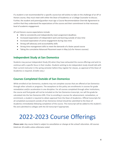If a student is not recommended for a specific course but still wishes to take on the challenge of an AP or Honors course, they must meet with either the Dean of Academics or a College Counselor to discuss. Further, the student and parent/guardian must sign a Course Recommendation Override Agreement to confirm that they understand the expectations of the course and their commitment to that necessary level of academic engagement.

AP and Honors course expectations include:

- Able to consistently and independently meet assignment deadlines
- Increased expectation of independent work and learning outside of class time
- Increased expectation of active engagement during class time
- Strong self-advocacy and accountability skills
- Strong time management skills to meet the demands of a faster paced course
- Taking the cumulative Advanced Placement exam in May (n/a for Honors courses)

# **Independent Study at San Domenico**

Students may pursue Independent Study (IS) when they have exhausted the course offerings and wish to continue with a specific focus in their studies. Students wishing to do independent study should talk with their current instructor in the spring semester before they register for classes, as approval of the Dean of Academics is required. *(Credits vary.)*

# **Courses Completed Outside of San Domenico**

While enrolled at San Domenico, students may not complete courses that are offered at San Domenico through other schools or programs. The exceptions to this policy are enrollments in courses for grade remediation and/or acceleration in one discipline. For all courses completed through other institutions, the course and final grade will not be included on the San Domenico transcript, nor will the grade be calculated into the San Domenico GPA. Prior to enrolling in courses for advancement, remediation, or enrichment, a student is required to obtain approval from the Dean of Academics. Official transcripts for all completed coursework outside of San Domenico School should be submitted to the Dean of Academics immediately following completion of the course. This transcript will be added to the student's file and submitted to colleges with the SD transcript if appropriate.

# 2022-2023 Course Offerings

Please note: Any course listed is subject to cancellation or change at the school's discretion. All courses *listed are 10 credits unless otherwise noted.*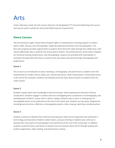# Arts

*Unless otherwise noted, the Arts courses listed are UC-designated ("f") Visual & Performing Arts courses and may be used to satisfy the Visual and Performing Arts requirements.*

# **Dance Courses**

*The San Domenico Upper School Dance Program offers a comprehensive training program in modern dance, ballet, hip hop, and choreography, taught by professional teachers and choreographers. The four-year program provides opportunities to explore dance from first steps through the college level, with* classes offered five days a week for the serious dance student. The primary focuses of the Dance Program *are technical training, performance, and choreography; students are provided with a foundation in technique through which they learn to express their own ideas and stories through choreography and performance.*

# **Dance 1**

This course is an introduction to dance technique, choreography, and performance. Students learn the fundamentals of modern dance, ballet, jazz, and hip hop dance, while rehearsing for a final performance at the end of the semester. Students also develop and teach basic dance lessons to students from the Lower School.

# **Dance 2**

Students expand upon their knowledge of dance technique, while exploring the elements of dance composition. Students engage in creative exercises investigating basic components of choreography, and developing the student's unique voice in dance-making. Students work in pairs or small groups to choreograph dances to be performed at the end of the school year. Students are also given assignments including journal entries, reflections, choreography projects, video viewing, sketching, and observations.

# **Dance 3**

Students continue to develop their technical and expressive skills and are expected to be proficient in terminology and execution of ballet, modern dance, and jazz technique. Students also continue to develop their own pieces of choreography to be performed at the end of the school year. In addition, students study the history and theory of western and non-western dance forms through reading and written assignments, video viewing, and performance critique.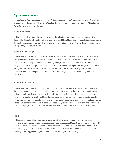# **Digital Arts Courses**

The goal of the Digital Arts Program is to study the intersection of technology and the arts, through the *language of multimedia, hands-on use of 21st century technology in creative projects, and the study of the history of arts in the digital age.*

# **Digital Animation**

In this class, students learn the core principles of digital animation, storytelling, and sound design. Using these skills, students will create their own short animated films. Students will also collaborate to produce the San Domenico animated film. The San Domenico animated film project will include animation, voice acting, editing, and sound design.

### **Digital Art and Design 1**

This course is an introduction to Graphic Design and Illustration. Adobe Illustrator and Photoshop are used as we learn to draw over photos to make vector drawings, combine parts of different photos to make interesting collages, and manipulate typography (fonts) all while learning how to create dynamic designs. Students will design book covers, posters, album covers, and logos. The design process is used throughout the course and students will become aware of how Graphic artists generate ideas for their work, take feedback from peers, and revise before submitting a final piece. No drawing skills are necessary.

# **Digital Art and Design 2**

This course is designed to build on the Graphic Art and Design introductory class and provides students the opportunity to advance and expand their understanding regarding the process of designing digital and print graphic design products as well as understanding the impact and role that visual art/graphic design has on society and culture. Students review and build on what they learned in the introductory course regarding composition, layout, digital art, illustration, typography, and photo manipulation. Using Adobe Illustrator and PhotoShop students will create Infographics, striking visuals of Digital Data as well as posters, logos, music cover art, and includes real world applications such as school related events and activities.

#### **Film 1**

In this course, students learn to produce both narrative and documentary films, from concept development through screenplay, production, and post-production. Student work is strongly informed by both story structure and visual grammar. Through these processes, students learn to find their artistic voice and engage in professional collaboration. Students also learn the fundamentals of screenwriting, directing, producing, cinematography, editing, visual effects, and sound design.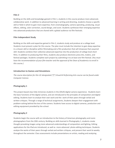# **Film 2**

Building on the skills and knowledge gained in Film 1, students in this course produce more advanced, collaborative work. In addition to advanced learning in writing and directing, students choose a specific skill or field in which to gain more expertise, from cinematography, camera operating, producing, visual effects, editing, color correction, sound design, and score. Students synthesize their emerging expertise into advanced productions that are shared with a global audience via film festivals.

# **Film Independent Study**

Building on the skills and expertise gained in Film 2, students study and produce at a college level. Students must present a plan for this course. The plan must include the intention to gain deep expertise in a chosen skill or discipline within filmmaking and a film production that will showcase that acquired skill. Students combine their collective advanced expertise into the production of college level short films. In addition to producing their films, students also produce electronic press kits, trailers, and festival packages. Students complete each project by submitting it to at least one film festival. *(You must* have the recommendation of your film teacher and the approval of the Dean of Academics to enroll in *this course.)*

# **Introduction to Games and Simulations**

*The course description for this UC-designated ("f") Visual & Performing Arts course can be found under Computer Science.*

# **Photography 1**

This project-based class fully immerses students in the (DSLR) digital camera experience. Students learn the basic functions of the digital camera, and are introduced to the principles of composition and digital editing. Students learn to analyze their own work and the work of their peers through verbal and written critiques. Through a range of technical assignments, Students deepen their engagement with problem-solving behind the lens of the camera. Students have access to digital cameras, production and editing equipment provided by the school.

# **Photography 2**

Students begin the course with an introduction to the history of American photography and iconic photographers from the 20th century. Building on skills learned in Photography 1, students create thought-provoking images using more advanced understandings of composition and lighting. Editing applications for the iPad are introduced, as well as more advanced photo editing techniques. Students analyze the works of their peers through verbal and written critiques, and present their work bi-weekly throughout the semester. Class assessments include presentations on artists, reading and analyzing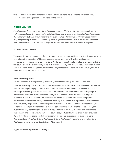texts, and discussions of documentary films and artists. Students have access to digital cameras, production and editing equipment provided by the school.

# **Music Courses**

Studying music develops many of the skills needed to succeed in the 21st century. Students learn to set *high personal standards, problem-solve both individually and in a team, think creatively, and appreciate the relationship between commitment and achievement. We offer the nationally-recognized Virtuoso* Program for string students who wish to explore a professional career in music, as well as a variety of *music classes for students who seek to perform, produce and appreciate music in all of its forms.*

# **Roots of American Music**

This course introduces students to the performance, history, theory, and impact of American music from its origins to the present day. This class is geared toward students with an interest in pursuing contemporary music performance in our Band Workshop course. Open to vocalists and instrumentalists, this course traces the evolution of genres such as blues, country, jazz, rock, and soul. Students will learn how to read and write song charts, develop their ear, compose and improvise original music, and have opportunities to perform in ensemble.

# **Band Workshop Series**

#### *For some instruments, prerequisites may be required; consult the Director of the Music Conservatory.*

The Band Workshop class is a comprehensive and sequential course for students who want to study and perform contemporary popular music. The course is open to all instrumentalists and vocalists but focuses primarily on guitar, drums, bass, keyboards and vocals. Students in the class form groups to rehearse and perform a variety of contemporary music from the 50's to the present. Groups are composed of two to ten students. Students explore a wide range of musical styles, composers, instrumental combinations, arrangements and difficulty levels from a vast repertoire of contemporary music. Student groups meet bi-weekly to perform their pieces in an open critique format to analyze performances and give feedback to help improve performance skills. During the course of the year, students will progress through units that include performance practice, improvisation, transcribing, music theory and ear training. As part of the course design, students will explore a variety of cultural styles that influenced each period of contemporary music. This is course one in a series of Band Workshop: *Band Workshop 1, Band Workshop 2 & Band Workshop 3.* Students who complete *Band Workshop 1* are eligible to participate in *Band Workshop 2.*

# **Digital Music Composition & Theory 1**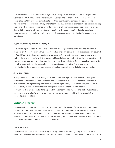This course introduces the essentials of digital music composition through the use of a digital audio workstation (DAW) and popular software such as GarageBand and Logic Pro X.. Students will learn the basics of using MIDI keyboard controllers to construct chord progressions and melodies, and gain introduction to production and arrangement techniques that contribute to modern electronic music, pop music and other popular contemporary styles. Students will learn, practice and apply standard music theory skills. Students will study musicians influential to the development of digital music, have opportunities to collaborate with other arts departments, and get an introduction to recording arts techniques.

# **Digital Music Composition & Theory 2**

This course expands upon the essentials of digital music composition taught within the Digital Music Composition & Theory I course. Music theory fundamentals are essential for this course and are covered in Digital Music 1. Students gain hands-on experience writing directly for films, video games, and other multimedia and collaborate with live musicians. Students learn comprehensive skills in composition and arranging in various formats and genres. Students apply these skills by writing for both live instruments as well as using digital audio workstations for composing and recording. This course is a great introduction to the professional-level process of applied songwriting and digital music production.

#### **AP Music Theory**

In preparation for the AP Music Theory exam, this course develops a student's ability to recognize, understand and describe the basic materials and processes of music that are heard or presented in a musical score. Through listening and creative exercises, sight-singing, and written analyses, the course uses a variety of music to teach the terminology and concepts integral to a foundation in common-practice musical understanding. In addition to technical knowledge and skills, students gain exposure to and familiarity with a wide variety of musical literature, and the ability to apply their knowledge and skills to it.

# **Virtuoso Program**

*Students seeking admittance into the Virtuoso Program should apply to the Virtuoso Program Director. The Virtuoso Program faculty committee, led by the Virtuoso Program Director, will decide upon a student's acceptance to the Program. Once accepted into the Program, string students need to be members of the Orchestra da Camera and a Virtuoso Program Chamber Music Ensemble, and participate in all related sectional, group, and individual rehearsals.*

#### **Chamber Music**

This course is required of all Virtuoso Program string students. Each string group is coached one hour weekly and rehearses as a group without a coach a minimum of one hour per week, with the expectation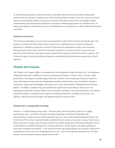of individual preparation outside of rehearsal. Ensemble skills commensurate with string quartet performance are stressed. Studying much of the world's greatest chamber music on a one-to-one basis requires accountability, builds a strong sense of tonal and rhythmic awareness, encourages a deep understanding of compositional techniques, and fosters a lifelong appreciation for chamber music. In rehearsing together, students learn the art of collaboration and cooperation as well as effective rehearsal technique.

### **Orchestra da Camera**

The Orchestra specializes in music for strings and performs three formal concerts during the year. The Orchestra rehearses for 90 minutes twice a week and an additional hour in sectional rehearsals. Repertoire is selected to represent a variety of historical and contemporary styles and composers. Soloists may be chosen from within the ensemble to perform on certain orchestra concerts at the discretion of the Director. Solo works must be played from memory and should include a cadenza. The Virtuoso Program faculty committee will take into consideration the performance experience of each applicant.

# **Theatre Arts Courses**

*The Theatre Arts Program offers a comprehensive interdisciplinary study of theatre arts. The program is* designed to build self-confidence in all areas of acting and theatre in classes and in our main stage *productions. The program provides opportunities for students with a beginning interest in theatre to those with advanced-level training. Performance Studies include acting, voice and diction, theatrical movement, stage rapier and dagger, monolog, scene study, improvisation, Shakespeare and classical theatre. In addition, students may gain performance experience and technique when cast in our mainstage productions: Musical Theatre in first semester, and Plays in the second Semester. The Theatre Department offers a comprehensive program in technical production, including construction, set, lighting, costume and sound design; and opportunities for crewing a show.*

#### **Theatre Arts 1: Introduction to Acting**

Theatre 1 is a skill-building acting course. We learn about theatre by *doing*, and this is a highly participatory class. In the first semester we build acting skills and theatre knowledge with improvisations, acting exercises, performing short one acts, and a team playwriting/performance unit. By the end of the course, students should understand how to create a character in a play; know how to listen and react on stage; know the basic elements of theatre production and theatre etiquette; and be comfortable and confident taking part in school productions, acting classes, and public speaking in classroom situations and beyond. In the second semester we will go deeper into character study with a contemporary scene unit and a Shakespeare scene unit. This course lays the foundation for all future theatre courses and performance opportunities at SD.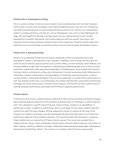#### **Theatre Arts 2: Contemporary Acting**

This is a course in acting. In this course you students learn essential acting tools to create characters, and we work on scenes and monologues continually throughout the year, with each unit introducing new skills and polishing those you have already learned in previous units. We focus on contemporary realism in comedy and drama, and also do a unit on Shakespeare, and a unit on sword fighting for the stage. We work together to develop an acting process for you, based primarily on the concepts developed by Constantin Stanislavski. Each acting assignment will have specific instructions, and everyone receives acting coaching as students work on the assignments. Students read the plays from which the scenes and monologs are selected and learn how to write and apply Stanislavkian analysis.

### **Theatre Arts 3: Advanced Acting**

Theatre 3 is an Advanced Acting Class focusing on deepening and fine-tuning performance skills developed in Theatre 2, working with scripts of greater complexity. Units of study will draw upon the works of Classic American plays by authors such as Arthur Miller, Lorraine Hansbury, Lillian Hellman, and Tennessee Williams; High-Style Comedy/Farce; stylistically groundbreaking plays such as those by Pinter and Brecht; traditionally underrepresented playwrights; and Shakespeare. Actors benefit from classical training as well as contemporary acting, and a strong base in classical acting (specifically Shakespeare) is essential for students auditioning for training programs in universities and conservatories, as well as summer theaters. Acting skills developed in the course are applicable to musical theatre performance as well. The emphasis of the class is on performance; the students develop their acting skills by performing monologs and scenes with practical, character-driven analyses. At the end of the year, students have an evening Showcase performance, potentially with the Honors Capstone performances.

# **Theatre Honors**

In this honors-level course, students achieve a high level of skill in the art of acting and theatre through a deep understanding and experience of the aesthetic processes of the art. Working in a variety of genres, each unit is devoted to a specific historical period, cultural context, and genre, as exemplified in a specific play or plays. In addition to performing scenes or monologs from the plays, students study the context from which the play emerged. Writing assignments involve an analysis of each play, of the character the student is portraying, and will contextualize the play historically. Each unit of study has a performance objective and an analytical objective. The second semester will culminate in a Capstone Project performance as required by UC Theatre Honors courses. The course uses excerpts from a college-level text. Genres under consideration include Classic American Realism plays by such authors as Miller, Hellman, Hansbury, Williams, and Inge; traditionally underrepresented playwrights; Shakespeare; Noel Coward; Harold Pinter; Brecht. This course is in accordance with UC Honors requirements.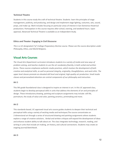# **Technical Theatre**

Students in this course study the craft of technical theatre. Students learn the principles of stage management, publicity, and producing, and design and implement stage lighting, costumes, sets, sound, props, and make-up. Work includes focusing on particular areas of interest in San Domenico theatrical productions. Participation in this course requires after-school, evening, and weekend hours. Upon approval, Advanced Technical Theatre is available as an Independent Study.

# **Ethics and Theater: Engaging in Civil Discourse**

*This is a UC-designated ("g") College-Preparatory Elective course. Please see the course description under Philosophy, Ethics, and World Religions.*

# **Visual Arts Courses**

*The Visual Arts Department curriculum introduces students to a variety of media and new ways of problem solving, and teaches students to use the art vocabulary fluently, in both verbal and written forms. These courses emphasize authentic studio practices, which involves the development of both creative and analytical skills, as well as personal integrity, originality, thoughtfulness, and work ethic. The upper level classes promote an elevated skill level and original, high-quality art production. Small studio classes and personalized attention are central components of our philosophy and instruction.*

# **Art 1**

This 9th grade foundational class is designed to inspire an interest in art. In this UC approved class, students begin to develop perceptual skills in units that address the elements of art and principles of design. These introductory drawing, painting and sculpture assignments may include: still life, portraiture, the study of value and color, painting,ceramics, printmaking and more.

# **Art 2**

This standards-based, UC-approved visual arts course guides students to deepen their technical and perceptual skills using a variety of exciting media and techniques.The course concentrates on 2-dimensional art through a series of structured drawing and painting assignments where students explore a range of creative solutions.. Verbal and written critiques will expand the development of ideas and enhance student ability to talk about art. The class integrates technology, research, reading, and writing in units that include art making, art history, and cultural connections. Students may create an ongoing journal/sketchbook.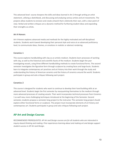This advanced level course sharpens the skills and ideas learned in Art 2 through writing an artist statement, utilizing a sketchbook, and discussing and analyzing various artists and art movements. The projects allow students to envision and create artwork that is distinctly their own, with a clear point of view. Verbal and written critiques are a dynamic method for furthering student ideas and expanding their strengths as artists.

# **Art 4 Honors**

Art 4 Honors explores advanced media and methods for the highly motivated and self-disciplined students. Students work toward developing their personal style and voice at an advanced proficiency level, to communicate ideas, themes, or emotions in realistic or abstract rendering.

# **Ceramics 1**

This course explores handbuilding with clay as an artistic medium. Students learn processes of working with clay, as well as the historical and scientific facets of the medium. Students begin the year investigating vessels, using three different handbuilding methods to create functional forms. The second semester investigates the figurative form through sculpture by creating faces and large busts. Students learn to integrate contemporary art practices and art history into their work through the study and understanding the history of American ceramics and the history of ceramics around the world. Students participate in group and solo critiques following each project.

# **Ceramics 2**

This course is designed for students who want to continue to develop their hand building skills at an advanced level. Students begin the first semester by reacquainting themselves to the medium through more advanced processes of creating vessels. Their work incorporates technical processes from Ceramics 1 as well new, more challenging techniques introduced at the beginning of the Semester. Second semester, students propose a semester-long project to the instructor. This semester-long project should explore either functional forms or sculpture. The project must incorporate elements of art history and contemporary art. Students participate in group and solo critiques following each project.

# **AP Art and Design Courses**

*RECOMMENDED PREREQUISITES: AP Art and Design courses are for all students who are interested in inquiry-based thinking and making. Prior experiences learning about and making art and design support student success in AP Art and Design.*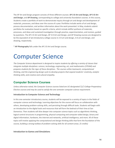The AP Art and Design program consists of three different courses: **AP 2-D Art and Design, AP 3-D Art and Design**, and **AP Drawing**, corresponding to college and university foundation courses. In this course, Students create a portfolio of work to demonstrate inquiry through art and design and development of materials, processes, and ideas over the course of a year. Portfolios include works of art and design, process documentation, and written information about the work presented. In May, students submit portfolios for evaluation based on specific criteria, which include skillful synthesis of materials, processes, and ideas and sustained investigation through practice, experimentation, and revision, guided by questions. The AP 2-D Art and Design, AP 3-D Art and Design, and AP Drawing courses are designed to be the equivalent of an introductory college course in 2-D art and design, 3-D art and design, and drawing, respectively.

\* **AP Photography** falls under the AP 2-D Art and Design course.

# Computer Science

*The Computer Science department is designed to inspire students by offering a variety of classes that integrate multiple disciplines: science, technology, engineering, art, and mathematics (STEAM) and prepares students for the rigor of these disciplines. The courses utilize teamwork, computational thinking, and the engineering design cycle to develop projects that expand students' creativity, analytic thinking skills, and creative and cultural empathy.*

# **Computer Science Courses**

*Unless otherwise noted, the Computer Science courses listed are UC-designated ("g") College-Preparatory Elective courses and may be used to satisfy the one-semester computer science requirement.*

# **Introduction to Computer Science and Technology**

In this one-semester introductory course, students will be exposed to a variety of topics in the fields of computer science and technology. Learning objectives for the course will focus on collaboration with others, developing problem-solving skills, and persisting through difficult tasks. Students will begin with an introduction to the digital tools and resources that will form the bedrock of their time at San Domenico. Then students will dive deeper into computer science topics such as algorithmic thinking, logical control structures in programming, physical computing and computer-aided design, binary and digital information, hardware, the internet and networks, artificial intelligence, and more. All of these topics will involve applying the computational and design thinking skills that form the foundation of the course, building a strong toolbox of problem-solving skills for all content areas. *(5 credits)*

# **Introduction to Games and Simulations**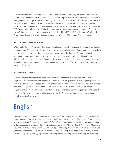This course is the introduction to a 3-year Games and Simulations pathway. Students in this pathway learn relevant technical and artistic knowledge and skills to prepare for further education and careers in Game/Simulation Design, Game Programming, or 2-D/3-D Art or Animation. This introductory course is designed to give students a solid foundational understanding of game design, 3D and VR simulation design, and the fundamentals of the Unity Editor. The course covers Level Design, Shaders and Materials, VFX, Cameras and Lighting, Post-Production Processing, AI Navigation, Animation, Audio Effects, UI, the Script/Editor interface, and other creative and technical skills. *(This is a UC-designated ("f") Visual & Performing Arts course and may be used to satisfy the Visual and Performing Arts requirement.)*

# **AP Computer Science Principles**

AP Computer Science Principles offers a multidisciplinary approach to teaching the underlying principles of computation. The course will introduce students to the creative aspects of programming, abstractions, algorithms, large data sets, cybersecurity concerns and computing impacts. The course also gives students the opportunity to use current technologies to create computational artifacts for both self-expression and problem solving. Together, these aspects of the course make up a rigorous and rich curriculum that aims to broaden participation in computer science. (*This is a UC-designated Laboratory Science ("d") course.)*

# **AP Computer Science A**

This is a one year course that will teach students to program in the Java language. The course emphasizes problem solving skills necessary to solve modern day problems. While no prerequisites are required in terms of experience with coding, those who have had previous experience with a text based language like Python or C will find the course much more accessible. The course will cover basic programming and moves on to expose students to object oriented programming as well. Time is spent examining style and conventions, and preparation for the AP Exam will also ask students to debug code as well as writing their own.

# English

*SD English classes are foundationally rooted in the belief that reading and writing are inextricably linked, and through reading, we become strong writers, and through writing, we publish material that audiences* want to read. English classes are created to help each student develop strong skills in thinking, reading, *writing, speaking, and listening through the study of works with literary integrity from around the world. Students develop and hone critical reading, writing and thinking skills that propel them to communicate effectively and logically with multiple audiences through a variety of writing genres, including but not limited to: expository writing, argumentative writing, creative writing, technical writing, essay writing,*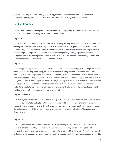*persuasive writing, research writing, and writing for media. Students graduate as confident and competent thinkers, readers and writers who can communicate using multiple modalities.*

# **English Courses**

*Unless otherwise noted, the English courses listed are UC-designated ("b") English courses and may be used to satisfy the four-year English graduation requirement.*

# **English 9**

English 9 introduces students to further mastery of reading, writing, and developing the habit of critical thinking. Students examine a wide range of texts from different literary genres: poetry, fiction, drama, and the essay. Students learn to annotate and analyze texts and to identify themes and employ literary devices. English 9 emphasizes the essential elements of expository writing, especially sentence, paragraph, and essay development. Our texts explore the universal concerns of humanity as expressed by the authors and the relevance of those concerns today.

# **English 10**

This tenth grade English course builds on the skills that are taught freshman year, preparing students for more advanced reading and writing, as well as further developing class discussion and presentation skills. English 10 is a composition-based course, and many of the readings for this course will be taken from the composition text, *Models for Writers*. Students will write in various composition modes such as analytical, narrative, and comparison-contrast essays. Through a study of various literary forms, students will develop a broad yet concrete understanding of the purposes to which literature shapes our understanding of identity. Students will frequently practice critical writing and annotated reading skillbuilding in preparation for their junior year and beyond.

# **English 10 Honors**

This challenging course is as described above in English 10 but serves students who read and write at an advanced 10<sup>th</sup> grade level. English 10 Honors will feature additional and more challenging texts, more frequent writing assignments, and the instruction and curriculum will advance at a greater speed than the college prep English 10 course in order to prepare students for English 11 or AP Language and Composition.

# **English 11**

This one-year college-preparatory American Literature course provides Junior-year students with the next level of reading, writing, and presentation experiences requiring critical thinking and text-based analysis. This course explores what it means to be an American and the "American Dream" as promised to its people the freedom to pursue happiness and the ways in which America has succeeded or failed to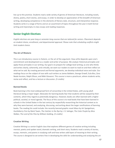live up to this promise. Students read a wide variety of genres of American literature, including novels, drama, poetry, short stories, and essays, in order to develop an appreciation of the breadth of American writing, developing competence in the elements of literary style, structure, and interpretive response. Students write in a range of forms and on an assortment of topics throughout the year in both formal writing and impromptu in-class essays and reading responses.

# **Senior English Electives**

*English electives are year-long or semester-long courses that are tailored for seniors. Placement depends on student choice, enrollment, and departmental approval. Please note that scheduling conflicts might limit student choice.*

# **The Art of Rhetoric**

This is an introductory course in rhetoric, or the art of the argument. How artful depends upon one's commitment and development as a reader and writer of purpose. We analyze rhetorical principles and apply those principles in our writing. Our goal is to prepare for college level writing; as one who thinks and writes clearly, coherently, and critically, we want our readers to want to read on and then reflect on what we've said. By creating personal and formal arguments, we develop individual voice and style. Our readings focus on the subject of race with such writers as James Baldwin, George Orwell, Eula Biss, Zora Neale Hurston, Ralph Ellison, and Nikki Giovanni. This course is more a practicum, where students write, revise and reflect, and less a lecture or discussion. *(5 credits)*

# **Banned Books**

Book banning is the most widespread form of censorship in the United States, with young adult literature being a major target. Advocates for banning books fear that students will be swayed by their contents, which they regard as potentially dangerous. However, books are often banned with a higher political, societal, or moral agenda. The focus of this course is to read books that have been banned in schools in the United States in the last century by respectfully researching the historical context as to why they were banned, and analyzing, discussing, and writing about the larger ramifications of banning books. The reading list could include: the recently banned graphic novel *Maus* by Art Speigelman, *Huckleberry Finn* by Mark Twain, *The Catcher in the Rye* by J. D. Salinger, *The Color Purple* by Alice Walker, *The Lord of the Flies* by William Golding. *(5 credits)*

# **Creative Writing**

Creative Writing is a senior English class that explores different genres of creative writing including memoir, poetry and spoken word, dramatic writing, and short story. Students read a variety of stories, essays, memoirs, and poems in studying craft and how writers add layers of meaning to their writing. The course is designed to set writers free in developing the skills for understanding and analyzing the art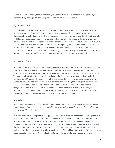and craft of writing fiction, literary nonfiction, and poetry. Class time is spent discussing the assigned readings, doing writing exercises, and participating in workshops. *(5 credits)*

# **Dystopian Fiction**

Recently popular movies such as *The Hunger Games* and the *Matrix* series are just two examples of the widespread appeal of dystopian stories in our contemporary age. Living in an age where we feel threatened by climate change and other serious problems, it is not too surprising that dystopian novels and films have become so popular. In Dystopian Fiction, we will focus on some classics of dystopian literature with a bit of science fiction thrown into the mix. As we study these novels and a few films, we will consider how they address contemporary concerns regarding the relationship between nature and culture, gender and sexual identities, the individual and community, the erosion of democratic institutions, and the impact of scientific and technology. Course texts may include *Fahrenheit 451, Never Let Me Go, Brave New World, The Handmaid's Tale,* and *Slaughterhouse-Five*. *(5 credits)*

# **Mystery and Crime**

"A mystery is more than a novel, more than a compelling account of people whose fate engages us. The mystery is a way of examining the dark side of human nature, a means by which we can explore, vicariously, the perplexing questions of crime, guilt and innocence, violence and justice" (Sue Grafton). This course will introduce the genre of crime fiction, clarifying its basic formulas and examining its various types of "heroes": the secret agent, the hard-boiled detective, the police inspector, and the amateur sleuth. Themes of the course may include the idea of justice; the shifting nature of the hero; debates about corruption, inequity, discrimination and exploitation; fear of the underclass and foreigners; women cast as the "victim"; the masculine hero; the use of disguise; true crime; and competing political forces in the Cold War. Literary works by authors such as Sue Grafton, Erik Larson, Stephen King, Dennis Lehane and Martin Cruz Smith are studied. *(5 credits)*

# **Journalism**

*Note: This a UC-designated ("g") College-Preparatory Elective course and does not satisfy the SD English* graduation requirement. Seniors enrolled in this course must do so in addition to a full year of English 12 *electives or AP level English.*

Students in this course will produce the Upper School's first student-led newspaper, reporting the news of the school community, as well as issues and events of concern to the students. Students will learn communication theory, the historical background and responsibilities of a free press, and qualities of good writing through reading core literature and journalism models. Students will become familiar with the various types of journalistic writing: news, editorials, opinion, features, sports, narratives, columns, reviews, advertising copy, captions/cutlines, and headlines. They will produce material for publication by researching, interviewing, writing, and editing stories designed to inform, persuade, or entertain.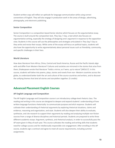Student-written copy will reflect an aptitude for language communication while using correct conventions of English. They will also engage in production work in the areas of design, advertising, photography, and electronic publishing.

### **Senior Composition**

Senior Composition is a composition-based Senior elective which focuses on the argumentative essay. The course is built around the composition text, *They Say / I Say*, a text which also focuses on argumentative writing, especially the strategy of designing one's argument in response to the opposition view. Students in this course will use the philosophies and strategies articulated in *They Say/ I Say* as they write and revise their essays. While some of the essays will focus on political topics, students will also have the opportunity to write argumentatively about personal issues such as friendship, community, and specific challenges in their lives.

#### **World Literature**

How does literature from Africa, China, Central and South America, Russia and the Pacific Islands align with and differ from Western literature? Cultures and societies are mirrored in the stories that arise from them; Shakespeare wrote that literature "holds a mirror, as t'were, up to nature".[MOU17] In this course, students will delve into poems, plays, stories and novels from non- Western countries across the globe, to understand better both the art and culture of the source countries and writers, and to discover the unifying themes that bind all stories and storytellers together. (5 credits)

# **Advanced Placement English Courses**

# **AP English Language and Composition**

The AP English Language and Composition course is an introductory college-level rhetoric class. The reading and writing in this course are designed to deepen and expand students' understanding of how written language functions rhetorically: to communicate purpose and elicit response. Students will cultivate their understanding of rhetorical arguments by exploring rhetorical situations, claims and evidence, reasoning and organization, and style. Students will also deepen their ability to evaluate, synthesize, and cite research to support their arguments by reading and analyzing multiple non-fiction sources from a range of diverse disciplines and historical periods. Students are prepared to write three different academic essays: Argument, synthesis, and rhetorical analysis, in order to successfully pass the AP exam given in May of each year. This course cultivates the reading and writing skills that students need for college success and for intellectually responsible civic engagement. After enrolling in this AP course, students sign a contract and agree to meet all course requirements, including summer assignments.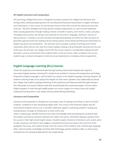### **AP English Literature and Composition**

This year-long, college-level course is designed to prepare students for college-level literature and writing, while indirectly preparing them for the Advanced Placement Examination in English Literature and Composition. In this course, we will discover literary riches from around the world and across the centuries. We will investigate and study specific analytical approaches to a text and will implement these varying approaches through reading critically a breadth of poetry, short stories, novels, and plays. Throughout this process, we will pay close attention to the writer's language, intentions, and use of literary devices. In doing so, we will naturally and organically develop and refine the skills necessary to gracefully approach both the reading and the writing aspects of the Advanced Placement Examination in English Literature and Composition. You will learn how to analyze a variety of writings and to think inductively, which will arm you with the critical reading, thinking, and writing skills necessary for the rest of the year, the AP exam, for college, and for life.This course requires a considerable reading load and demands a serious commitment from students both in and out of class. After enrolling in the course, students sign a contract and agree to meet all course requirements, including summer assignments.

# **English Language Learning (ELL) Courses**

*Unless the proficiency level demonstrated through testing indicates full readiness for English 9, non-native English speakers entering SD in Grade 9 are enrolled in Literature & Composition and College Preparatory English Language 1, both of which are classes in the English Language Learning Program. All students entering Grade 10 are placed into English 10. Non-native speakers may additionally be placed into College Prep English Language Workshop if the proficiency level demonstrated through testing or their 9th-grade coursework indicates that they would benefit from continued support. All non-native English speakers in ninth through twelfth grades can receive support on a drop-in basis for English reading and writing tasks in any subject during weekly Writing Workshops.*

# **Literature and Composition**

Literature and Composition is designed to encourage a love of reading and writing, as well as to foster students' confidence in their developing English skills. This course is the freshman English class for international students and as such, it provides additional support in achieving academic reading and writing fluency. Through an introduction to short stories and

novels, students gain valuable historical and cultural knowledge while developing the analytical skills that deepen personal connections between the reader and stories, ultimately helping to prepare them for success in their high school English classes. Students explore elements of literature such as plot, point of view, character, and theme; they engage in composition practice focusing on the structure of the paragraph, the essay, and creative writing. Over the course of the academic year, students gain language skills, cultural context, knowledge of writing with technology, general academic skills, as well as grow competencies for working independently and cooperatively.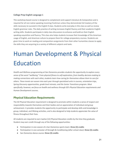# **College Prep English Language 1**

This workshop-based course is designed to complement and support Literature & Composition and is required for all non-native speaking incoming Freshman unless they demonstrate full mastery of the skills necessary to succeed in the English 9 class. Students write everyday in this class as well as review English grammar rules. The daily practice of writing increases English fluency and their academic English writing skills. Students participate in daily class discussions to enhance and build on their English speaking acquisition and fluency. This class also helps students increase their knowledge of the American usage of English, and American culture to prepare them for college preparatory courses. Students are given time to work on reading and composition assignments from their other humanities classes to apply the skills they are acquiring to a variety of different subjects and tasks.

# Human Development & Physical Education

*Health and Wellness programming at San Domenico provides students the opportunity to explore every sense of the word "wellbeing." From physical fitness to self-exploration, from healthy decision-making to making connections with each other, students learn how caring for themselves allows them to care for others. These tenets are woven into each year through specialized units in courses, orientation trips, Spring Discovery opportunities, grade level retreats, and the Senior Transitions program. Most specifically, however, we focus on health and wellness through SD's Physical Education requirements and Human Development courses.*

# **Physical Education Requirements**

The SD Physical Education requirement is designed to promote within students a sense of respect and responsibility towards themselves and their bodies and an appreciation of individual and group achievement. It provides students the opportunity to participate and develop skills and knowledge in group, individual, and lifelong activities, and is also designed to help students appreciate the value of fitness throughout their lives.

All students are required to earn twelve (12) Physical Education credits by the time they graduate. Student may earn credit through any of the following opportunities:

- Participation in one season of a San Domenico sports team: **three (3) credits**
- Participation in one semester of Strength & Conditioning (after school class): **three (3) credits**
- San Domenico dance course: **three (3) credits**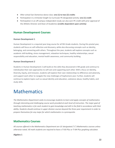- After-school San Domenico dance class: **one (1) to two (2) credits**
- Participation in a trimester-length Co-Curricular PE-designated activity: **one (1) credit**
- Participation in an off-campus independent study can also earn PE credit with prior approval of the Athletic Director and Dean of Academics **(credits dependent upon activity)**

# **Human Development Courses**

# **Human Development 1**

Human Development is a required year-long course for all 9th Grade students. During this pivotal year, students will focus on self-reflection and discovery, while also discussing concepts such as identity, belonging, and connecting with others. Throughout the year, students will explore concepts such as academic skill-building, stress management, relaxation techniques, healthy relationships, sexual responsibility and education, mental health awareness, and community building.

# **Human Development 2**

Students in Human Development 2 will build on the skills they discovered in 9th grade and continue to individualize their own approaches to self-care and supporting each other. With a focus on Identity, Diversity, Equity, and Inclusion, students will explore their own relationships to difference and adversity, and support each other to navigate the new challenges of Sophomore year. Further, students will continue to explore topics such as sexual identity and education, substance abuse, healthy habits, and study skills.

# **Mathematics**

*The Mathematics Department seeks to encourage students to learn and apply concepts of mathematics through interesting and challenging course work provided at each level of instruction. The major goal of* teaching mathematics is for each student to gain knowledge and skill in the field in accordance with their *ability. Students should continue in upper division courses beyond the three-year requirement in order to prepare themselves for any major for which mathematics is a prerequisite.*

# **Mathematics Courses**

*All courses offered in the Mathematics Department are UC-designated ("c") Mathematics courses unless otherwise noted. All math students are required to have a TI-83 Plus or TI-84 Plus graphing calculator.*

**Algebra 1**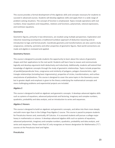This course provides a formal development of the algebraic skills and concepts necessary for students to succeed in advanced courses. Students will develop algebraic skills and apply them in a wide range of problem-solving situations. The concept of function is emphasized. Topics include operations with real numbers, linear equations and inequalities, relations and functions, polynomials, rational expressions, and nonlinear equations.

### **Geometry**

Geometric figures, primarily in two dimensions, are studied using multiple perspectives. Exploration and inductive reasoning accompanies a traditional Euclidean approach of deductive reasoning and an introduction to logic and formal proofs. Coordinate geometry and transformations are also used to study congruence, similarity, symmetry and other properties of geometric figures. Real-world connections are made and algebra is reviewed and applied.

### **Geometry Honors**

This course is designed to provide students the opportunity to learn about the nature of geometric shapes and their applications to the real world. Students will learn how to reason and communicate logically and develop arguments both deductively and inductively. Additionally, students will extend their knowledge of algebraic concepts through the study of geometric relationships. Topics include properties of parallel/perpendicular lines, congruence and similarity of polygons, polygon characteristics, right triangle relationships (including basic trigonometry), properties of circles, transformations, and surface area/volume of polyhedrons. This course is designed to cover the same topics in the Geometry course but in greater depth and emphasis is given to the theory underlying the mathematical concepts and more challenging problems and experiential projects are included.

# **Algebra 2**

This course is designed to build on algebraic and geometric concepts. It develops advanced algebra skills such as systems of equations, advanced polynomials and factoring, imaginary and complex numbers, quadratics, probability and data analysis, and an introduction to series and sequences.

# **Algebra 2 Honors**

This course is designed to build on algebraic and geometric concepts, and delve into them more deeply and with more rigor than in the College Prep Algebra 2 course. This course is paced to prepare students for Precalculus Honors and, eventually, AP Calculus. It is assumed students will pursue a college major heavy in mathematics or science. It develops advanced algebra skills such as systems of equations, advanced polynomials, imaginary and complex numbers, quadratics, probability and data analysis, and series and sequences. Please note that UC only recognizes an Honors designation for Mathematics ("C") courses at the Precalculus level and higher.

# **Precalculus**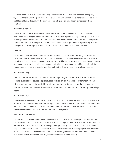The focus of this course is on understanding and analyzing the fundamental concepts of algebra, trigonometry and analytic geometry. Students will learn how algebra and trigonometry can be used in real-life problems. Throughout the course, numerical, graphical and algebraic methods will be emphasized.

# **Precalculus Honors**

The focus of this course is on understanding and analyzing the fundamental concepts of algebra, trigonometry and analytic geometry. Students will learn how algebra and trigonometry can be used in real-life problems and important themes of calculus will be introduced from a conceptual perspective. Throughout the course, analysis will be performed numerically, graphically and algebraically. The pace and rigor of this course prepare students for Advanced Placement study of mathematics.

# **Calculus**

This introductory course in Calculus is best suited to students who are not pursuing the Advanced Placement Exam in Calculus and are particularly interested in how the concepts apply in the social and life sciences. The course touches upon the major topics of limits, derivatives, and integrals and requires students to possess a certain level of competency in algebra, trigonometry, and functional analysis. Students are expected to engage fully and commit to the rigors of this upper level math course.

# **AP Calculus (AB)**

This course is equivalent to Calculus 1 and the beginning of Calculus 2 of a three semester college level calculus course. Topics studied include limits, methods of differentiation and integration, and applications of differentiation and integration. At the end of the course students are required to take the Advanced Placement Calculus AB test offered by the College Board.

# **AP Calculus (BC)**

This course is equivalent to Calculus 1 and most of Calculus 2 of a three semester college level calculus course. Topics studied include all of the AB topics, listed above, as well as improper integrals, series and sequences, and parametric, vector and polar equations. At the end of the course students take the Advanced Placement Calculus BC test offered by the College Board.

# **Introduction to Statistics**

Introduction to Statistics is designed to provide students with an understanding of variation and the ability to summarize and make use of data, across a wide range of topic areas. The four major themes of the course are exploratory analysis, planning a study, probability, and statistical inference. Students engage with the material through a variety of hands-on activities and in-depth projects. The pace of this course allows students to develop and hone their curiosity, guided by each of these themes. Every unit culminates with an assessment or a project to demonstrate student mastery.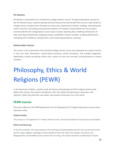### **AP Statistics**

AP Statistics is equivalent to an introductory college statistics course. Through preparing to succeed on the AP Statistics exam, students develop statistical literacy that will benefit them across a wide variety of college courses. Students learn through class discussion, experiential activities, readings, interacting with online resources, and solving many practice problems. AP statistics closely follows the course topics recommended by the College Board. Course topics include: exploring data, modeling distributions of data, describing relationships, designing studies, probability, random variables, sampling distributions, estimating with confidence, testing claims, and comparing populations or groups.

### **Multivariable Calculus**

This course is the culmination of the standard college calculus series and undertakes the study of vectors in two and three dimensions, vector-valued functions, partial derivatives, and multiple integration. Applications include calculating surface area, centers of mass and centroids, and optimization in several variables.

# Philosophy, Ethics & World Religions (PEWR)

*In the Dominican tradition, students study the history and teachings of all the religions of the world. Within that context, they explore and discover their own beliefs through inquiry, discussion, and reflection. When they find their own ideals, they practice living them out in the world.*

# **PEWR Courses**

*All courses offered in the PEWR Department are UC-designated ("g") College-Preparatory courses unless otherwise noted.*

#### **Global Studies**

This course is a UC-Approved "a" History elective course. See Social Studies for the full course description.

#### **Myth and Meaning**

In the first semester, this class examines the teachings and philosophies found in the sacred texts of the world's major religions. Readings include selections from the Torah, the Gospels, the Quran, the Bhagavad Gita, the Buddhist Sutras and the Tao Te Ching. The second semester is dedicated to Project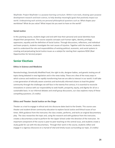Wayfinder. Project Wayfinder is a purpose learning curriculum. Within it are tools, drawing upon purpose development research and brain science, to help develop meaningful goals that positively impact our world. Underpinning each activity are personal philosophical questions such as: What shapes your worldview? What do you value? What impact do you want to have on the world?

### **Social Justice**

In this yearlong course, students begin and end with how their personal and social identities have shaped their perspectives. The course unpacks concepts such human rights, identity, privilege, oppression, equality and the definition of Social Justice. Through discussions, reflections, and individual and team projects, students investigate the root causes of injustice. Together with the teacher, students work to understand the role and responsibilities of existing political, economic, and social systems in creating and perpetuating Social Justice issues as a catalyst for starting their capstone ROSE (Real Opportunities for Service) project.

# **Senior Electives**

### **Ethics in Science and Medicine**

Nanotechnology, Genetically Modified Food, the right to die, designer babies, and genetic testing are all topics being debated in new legislation and in the news today. These are a few of the many ways in which science and medicine are rapidly transforming how we are able to interact in our world. It will take a new generation of ethically aware scientists and technically informed citizens to lead the global community through the challenges we will face in the twenty-first century. It is essential to reconcile innovations in science with our responsibility to seek health, prosperity, equity, and dignity for all on a sustainable basis. In our informal debates and small-group discussions, our class explores many of these compelling questions. *(5 credits)*

#### **Ethics and Theater: Social Justice on the Stage**

Theater as a tool to engage in ethical and civic discourse dates back to the Greeks. This course uses theater and student-driven community education to explore Social Justice and Ethical issues of our times. With guidance from the instructor, the class creates, performs, and techs an original documentary play. The class researches the topic and, using the research and with guidance from the instructor, creates a documentary script to perform for the Upper School under the direction of the instructor. An important component of the course is peer-to-peer teaching on the central issue, and students create a study guide for use with the documentary. Through their work in the course, students reflect and engage in a vigorous discourse on a myriad of vital and timely issues surrounding our topic. *(5 credits)*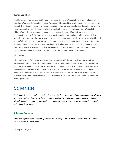### **Human Condition**

This literature course is presented through a philosophical lens. We begin by asking a fundamental question: What does it mean to be human? Although this is, decidedly, not a theory focused course, we do study the existential features of human- ness in a somewhat abstracted mode through some modern literature, which presents human-ness in surprisingly different and contestable ways. We begin by asking: What is distinctive about a human being? How are humans different from other beings, elephants for example? This spotlights a few key existential features and puts subjectivity and identity squarely at the center of the course. Our authors present some maddeningly, strangely, inexplicably, and wonderfully rich challenges to what we think about ourselves, qua human. Is there a writer more bizarre yet more grounded than Franz Kafka of bug fame? Will Albert Camus' Sisyphus ever succeed in pushing his rock up the hill? Gradually, we unfold a concept of self, raising serious questions about human agency, desires, nihilism, alienation, authenticity, autonomy, and freedom. *(5 credits)*

#### **Philosophy**

What is philosophy for? The answer lies within the name itself. The word philosophy comes from the Ancient Greek word φιλοσοφία (philosophia), which literally means "love of wisdom." In this class we explore the discipline of philosophy from its roots in antiquity to its role in our world today. Along the way we discover ways philosophy can offer insights into the most meaningful facets of our lives: relationships, education, work, money, and belief itself. Throughout the course we experiment with practices philosophers have developed to cultivate greater happiness and harmony within oneself and society. *(5 credits)*

# Science

*The Science Department offers a challenging array of college-preparatory laboratory classes, all of which stress observation, laboratory skills, and problem solving. Classes involve analysis and discussion of scientific phenomena, and prepare students to make informed decisions on environmental issues and technological advances.*

# **Science Courses**

*All courses offered in the Science Department are UC-designated ("d") Lab Sciences unless otherwise noted in the course description .*

**Conceptual Physics**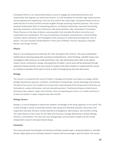Conceptual Physics is an inquiry-based physics course to engage and understand processes and relationships that organize our world and Universe. It is the foundation for all other high school sciences and the gateway into engineering. From the very small to the vastly large, Conceptual Physics strives to make the laws of science and the universe tangible through answering essential questions. This course develops fundamental skills of interpreting patterns, correlating relationships, executive functioning, planning, teamwork, and the joy of discovery with demonstrations, labs, and projects! Conceptual Physics focuses on the ideas of physics using examples from everyday life where connections are emphasized over computation. This course emphasizes conceptual comprehension, critical thinking, scientific inquiry, teamwork, and investigation skills necessary to understand and apply the rules of physics. The core concepts include Newton's Three Laws of Motion, Pressure, Buoyancy, Projectile Motion, and Energy Transfer.

#### **Physics**

Physics is an exciting journey to discover the rules that govern the universe. This course emphasizes mathematical reasoning along with conceptual comprehension, critical thinking, scientific inquiry and investigation skills necessary to understand these rules. We will develop these skills as we explore motion, forces, momentum, energy, and properties of matter. Course work will be presented through experience-based activities and many hands-on projects that allow students to understand the science by creating an example of the topic at hand, as well as through group and class discussions.

#### **Biology**

This course is a comprehensive survey of topics in biology and includes such topics as ecology, cellular biology, biochemistry, genetics, evolution, classification of living things, human physiology and anatomy. The goal of the course is for students to increase their understanding of the living world so that they can find patterns, analyze information, and ask educated questions. Teaching techniques include lecture, discussion, labs, projects, papers and activities. Tests are typically given every 2 or 3 weeks and there is at least one project or paper assigned every few months.

#### **Biology Honors**

Biology is a course designed to expand the students' knowledge of the living organisms in this world. This is done through a variety of teaching methods, labs, group and individual activities, discussions and cooperative learning. Activities include laboratory investigations, data analysis, and scientific writing. The major themes of the course are the Skills and Processes, Ecology, Biochemistry, Cellular Biology, Genetics, and Evolution. This class will cover biology topics and concepts in depth and will include independent research and experimental design.

#### **Chemistry**

This course presents the principles of chemistry and helps students gain a strong foundation in scientific literacy. Major goals are to stimulate interest in science and to encourage a spirit of inquiry. The course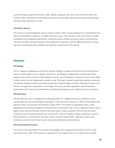covers the basic properties of matter, solids, liquids and gasses, the atom, the chemical families, the Periodic Table, stoichiometry and chemical reactions, and includes laboratory techniques and keeping comprehensive laboratory records.

#### **Chemistry Honors**

This course is recommended for serious science students with a strong background in mathematics and who are interested in a rigorous, in-depth chemistry course. The concepts in this course focus on both quantitative and qualitative descriptions. Among the topics studied are atomic theory, stoichiometry, chemical bonding, chemical reactions, thermodynamics, solutions, and the different phases of matter. Lab work and keeping a lab notebook are important components of the course.

# **Electives**

#### **AP Biology**

This is a rigorous college level course that requires students to apply skills learned from their previous science courses with a more in-depth, critical focus. AP Biology is designed for academically strong students with a keen interest in the biological sciences, and a willingness to devote at least 1-hour daily of after-school time for independent content study. The topics covered include biochemistry, molecular and cellular biology, heredity and molecular genetics, biotechnology, evolution, diversity, structure and function of organisms, populations and ecology. The course includes hypothesis- based laboratory experiments that mirror those performed in introductory biology courses offered at most universities.

#### **AP Chemistry**

The AP Chemistry class is designed to be the equivalent of a college introductory chemistry course usually taken by science and engineering majors in their first year of study. It is also for the student who desires to take a second year of chemistry in high school. The student is expected to have a solid background in the basic principles of chemistry prior to taking this class. This is a rigorous elective with a tighter focus than the first year Honors Chemistry classes. Topics covered in the first year of honors chemistry class are briefly reviewed, but not stressed. "How to" problem solving, equilibrium, kinetics, thermodynamics, and acid base chemistry will be covered in great depth. Laboratory work is also stressed, as much of the AP exam covers laboratory techniques and procedures.

#### **AP Environmental Science**

This course is the equivalent of a semester-long college course exploring the world around us, both natural and man-made. APES requires a rapid pace of one chapter every 1 to 2 weeks, but concepts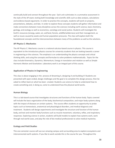continually build and connect throughout the year. Each unit culminates in a summative assessment in the style of the AP exam; testing both knowledge and scientific skills such as data analysis, calculations and evidence based arguments. In order to practice the concepts, students will work on projects, presentations, debates, and labs. In order to explore these concepts students will gather information and make connections between many disciplines across the sciences including earth science, basic chemistry, geology, and ecology as well as economics, sociology and social justice. Students will investigate the Earth's resources (energy, water, air, soil/land, forests, wildlife/wilderness) and their management, as well as issues caused by waste and human population pressures. The class will explore both the foundational concepts and the interconnections between many of the problems as well as the solutions.

### **AP Physics C: Mechanics**

The AP Physics C: Mechanics course is a national calculus-based course in physics. This course is equivalent to the introductory physics courses for university students that are looking towards a career in engineering or the sciences. The emphasis is on understanding the physics concepts and critical thinking skills, and using the concepts and formulae to solve problems mathematically . Topics for the class include Kinematics, Dynamics, Momentum, Energy in translation and rotation as well as Simple Harmonic Motion and Gravitation. Laboratory work is an integral part of this course.

### **Application of Physics in Engineering**

This class is about engaging in the process of dreaming it, designing it and building it! Students are presented with open-ended, design challenges and the goal is to complete this design process, then be asked to reflect back on what has been created. Students use science to help to understand how to create something and, in doing so, come to understand how the physical world works.

# **Human Biology**

This is a lab-based course that investigates structures and functions of the human body. Topics covered will include the basic organization of the body, biochemical composition, and major body systems along with the impact of diseases on certain systems. The course offers students an opportunity to probe topics such as homeostasis, anatomical and physiological disorders, and medical diagnosis and treatment. Students will design experiments and investigate the structure and function of the human body, and test and monitor body functions such as muscle movement, voluntary, reflex, and respiratory responses. Exploring science in action, students will build models to explain how systems work, work through real world cases, and play the role of bio-medical professionals to solve medical mysteries.

# **Ecology and Field Studies**

This one-semester course will use our amazing campus and surrounding area to explore ecosystems and interconnected earth systems. If you like to work outside this is the course for you. Throughout the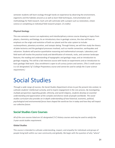semester students will learn ecology through hands-on experience by observing the environment, organisms and the habitats around us as well as learn field techniques, instrumentation and methodology for field research. Each unit will culminate with a project such as restoration, citizen science or completing an individual field research project. *(5 credits)*

# **Physical Geology**

This one-semester course is an exploratory and interdisciplinary science course drawing on topics from physics, chemistry, and biology. As an introductory class in geologic science, the class will have an emphasis on the origin and evolution of both our planet and the solar system to include: nucleosynthesis, planetary accretion, and isotopic dating. Through history, we will then study the theory of plate tectonics and the geological processes involved, such as mantle convection, earthquakes and volcanism. Students will practice quantitative reasoning and mathematical concepts. Laboratory and field work will involve the practical study and identification of minerals, rocks, and common landscape features; the reading and understanding of topographic and geologic maps; and an introduction to geologic mapping. This will be a lab intensive course with hands-on experiments and an introduction to basic geologic field work. Class enrollment is open to all curious juniors and seniors. *(This 5 credit course is a UC-designated ("g") College-Preparatory course and cannot be used to satisfy the 3-year science requirement.)*

# Social Studies

Through a wide range of courses, the Social Studies Department strives to put the present into context, to *cultivate students' intellectual curiosity, and to inspire engagement in the civic process. By investigating multiple perspectives regarding gender, ethnicity, and world religions, students develop an essential understanding and appreciation of the complex and diverse needs of people worldwide. The social studies curriculum also provides an in-depth understanding of how historical, economic, political, psychological and environmental forces have shaped the world we live in today and how they will impact our collective future.*

# **Social Studies Core Courses**

All of the core courses listed are UC-designated (" $a$ ") History courses and may be used to satisfy the *3-year social studies requirement.*

# **Global Studies**

This course is intended to cultivate understanding, respect, and empathy for individuals and groups of people living both within our own community and globally. We begin with the question of why "where"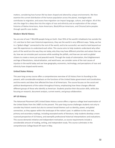matters, considering how human life has been shaped and altered by unique environments. We then examine the current distribution of the human population across the planet, investigate what contributes to migration, and assess how migration can impact language, culture, and religion. All of this sets the stage for a deep dive into the origins of race and ethnicity and an exploration of the unique histories of Native Americans, Asian Americans, Black/African Americans, and Chicanx/Latinx peoples through specific case studies.

# **Modern World History**

You are one of over 7 BILLION people living on Earth. Over 95% of the world's inhabitants live outside the U.S. and due to their own historical experiences, they see the world in very different ways. Today, we live in a "global village" connected to the rest of the world, and to be successful, we need to look beyond our own life experiences to understand each other. This course aims to help students understand why other parts of the world are the way they are today, why they may have different priorities and values than we do, how we can emulate past successes while avoiding the pitfalls, and how we can work as global citizens to create a more just and peaceful world. Through the study of colonization, the Enlightenment and Age of Revolutions, industrialization, and world wars, we consider some of the root causes of injustice in the world today and see how geography, economics, technology, and perceptions of race and ethnicity have shaped world events.

# **United States History**

This year-long survey course offers a comprehensive overview of US history from its founding to the present, with considerable emphasis on the functions of the United States government and Constitution, and the events and ideas that affected the lives of all Americans. The course focuses on the social and political developments of the nation throughout history, emphasizing how these changes affected different groups of those who identify as American. Students practice their discussion skills, while also focusing on research, document analysis, current events, and group collaboration.

# **AP US History**

The Advanced Placement (AP) United States History course offers a rigorous college level examination of the United States from the 1400's to the present. This year-long course challenges students not only to consider key historic events but also to connect broad themes such as identity, power, and global connection, as they appear within the landscape of the nation's past. In addition to the core text, primary and secondary readings, including excerpted works of literature, help students develop a more nuanced perspective of US history, and exemplify professional historical interpretations and evaluations. This course demands initiative and independent motivation, as course requirements include a considerable amount of reading, writing, and independent study. This course culminates in the comprehensive College Board AP exam in May.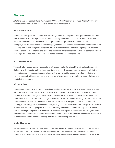# **Electives**

*All of the core courses listed are UC-designated ("g") College Preparatory courses. These electives are open to seniors and are also available to juniors when space permits.*

# **AP Macroeconomics**

Macroeconomics provides students with a thorough understanding of the principles of economics and how economists use those principles to examine aggregate economic behavior. Students learn how the measures of economic performance, such as gross domestic product (GDP), inflation, and unemployment are constructed and how to apply them to evaluate the macroeconomic conditions of an economy. The course recognizes the global nature of economics and provides ample opportunities to examine the impact of international trade and finance on national economies. Various economic schools of thought are introduced as students consider solutions to economic problems.

# **AP Microeconomics**

The study of microeconomics gives students a thorough understanding of the principles of economics that apply to the functions of individual decision makers, both consumers and producers, within the economic system. It places primary emphasis on the nature and functions of product markets and includes the study of factor markets and of the role of government in promoting greater efficiency and equity in the economy.

# **AP Psychology**

This is the equivalent to an introductory college psychology course. This social science course explores the systematic and scientific study of the behavior and mental processes of human beings and other animals. The course investigates the history of and differences between the major philosophies and approaches in the field. Students investigate the biological basis of behavior through studies of the brain and the senses. Other topics include the nature/nurture debate of cognition, perception, emotion, learning, motivation, personality development, intelligence, social behaviors, and therapy. With so much to cover, this requires a rapid pace of one chapter every two weeks. Students are expected to keep up with the readings and participate daily in class. Students participate in discussions, activities, and class presentations and projects. Students will continuously be tested in the style and level of the AP test on a bi-weekly basis and be expected to keep up with chapter readings and outlines.

# **Applied Economics**

Applied Economics at its most basic level is the study of choice. The class revolves around the following overarching questions: How do people, businesses, nations make decisions and interact with one another? How can individual wants and needs be balanced with societal wants and needs? What is the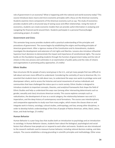role of government in an economy? What is happening with the national and world economy today? This course introduces basic macro and micro economic principles with a focus on the American economy. Students examine micro components of the American economy such as sup. The study of economics provides students with a structured way of seeing cause and effect relationships. Using the tools of economics, students can create economic models that can provide useful information in analyzing and navigating the financial world around them. Students participate in a personal finance/budget culminating project. *(5 credits)*

### **Government and Civics**

This semester-long course provides students with a practical understanding of the principles and procedures of government. The course begins by establishing the origins and founding principles of American government. After a rigorous review of the Constitution and its Amendments, students investigate the development and extension of civil rights and liberties. Lessons also introduce influential Supreme Court decisions to demonstrate the impact and importance of constitutional rights. The course builds on this foundation by guiding students through the function of government today and the role of citizens in the civic process and culminates in an examination of public policy and the roles of citizens and organizations in promoting policy approaches. *(5 credits)*

# **Ethnic Studies**

Race structures life for people of every racial group in the U.S., and yet many people find race difficult to talk about and even more difficult to understand. Considering the centrality of race to American life, it is essential that students learn to talk about race, to understand the ways race works to privilege some and disempower others, and to access the histories and social movements of various individuals and communities that have challenged the status quo in a racist society. Ethnic Studies is designed to introduce students to important concepts, theories, and analytical frameworks that shape the field of Ethnic Studies and help us understand the ways race (among other intersecting determinants such as gender, sexuality and class) structures American society. This course explores concepts such as radicalization, the development of race as a social category, the relationship between race and U.S. imperialism, and the deep history of contemporary racial formations. The course uses interdisciplinary and comparative approaches to study race from many angles, which means the classes draw on and integrate work in history, sociology, cultural studies, anthropology, and law, among other disciplines, in order to develop holistic understandings of the lives of people of Native American, white, black, Latino, Asian, and Arab heritage. *(5 credits)*

#### **Human Behavior**

Human Behavior is a year long class that studies both an introduction to psychology and an introduction to sociology. In Human Behavior classes, students learn about the biological, psychological and social factors that influence how people act or respond to each other and events. Students are also introduced to the research methods used to measure human behavior, including rational decision-making, and data analysis. The course establishes a strong grounding in scientific principles and methodology. Other areas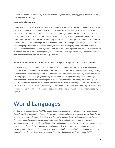of study are cognition, personality, human development, motivation, learning, group dynamics, culture, and abnormal psychology.

# **International Relations**

Students study and analyze global foreign policy issues with a focus on conflict, human rights, and social justice. This semester course examines complex current events from a range of perspectives in an attempt to better understand their causes and the competing interests of various state and non-state actors. Students come to understand the nature of these issues, as well as, consider the ethical implications of various approaches to addressing the issues, and in turn, propose potential solutions. In addition to the factual knowledge and moral deliberations surrounding these topics, the class works on developing important skills in historical inquiry, analysis, and crafting arguments based on evidence. Because the content of our course is going on around us daily, it is important that students pay attention to international news on an ongoing basis, and look for news coverage from a range of reliable sources that reflect competing political ideologies. *(5 credits)*

# **Issues in American Democracy** (Offered only during election years. Not available 2022-23.)

This seminar style course examines the context, mechanics, influences, and role of news media in US elections. Students will identify and analyze the factors and issues that influence contemporary politics, and develop an understanding of how the American electoral system works and why. In addition, issues like campaign finance laws, gerrymandering, the lack of women in positions of power, and foreign interference in American politics are explored. We look closely at the erosion of privacy and big data collection in the last decade, as well as the role "fake news" plays in crafting public opinion. This course aims to give students the tools and knowledge to help them be an active and effective participant in the political process, making sound, reasoned decisions in their role as a member of a democratic society. *(5 credits)*

# World Languages

*San Domenico Upper School's World Language Department requires completion of a world language through level 3 for graduation. Through immersion, regular practice, and continued work with authentic resources and materials, students achieve an advanced level of oral and written language proficiency. They learn about the people, customs and histories of the target cultures in order to successfully communicate with native speakers. Additionally, they challenge themselves to tolerate the ambiguity and imperfection inherent in the study of a second language. Teachers emphasize communication over explicit grammar instruction. Language lessons are meaningful, personalized and engaging. Course levels reflect the guidelines outlined by the American Council of Teachers of Foreign Language (ACTFL).*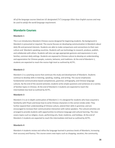*All of the language courses listed are UC-designated ("e") Language Other than English courses and may be used to satisfy the world language requirement.*

# **Mandarin Courses**

# **Mandarin 1**

This is an introductory Mandarin Chinese course designed for beginning students. No background in Mandarin is presumed or required. The course focuses on developing communication in Mandarin about daily life and personal interests. Students are able to make comparisons and connections to their own culture and Mandarin speaking countries. Students will use technology to research, produce, publish, and collaborate with others. Students will also use age-appropriate gestures and expressions in very familiar, common daily settings. Students are exposed to Chinese culture to develop an understanding and appreciation for Chinese people, customs, behavior, and traditions. At the end of Mandarin 1, students are expected to reach the novice-high level as outlined by ACTFL.

# **Mandarin 2**

Mandarin 2 is a yearlong course that continues the study and development of Mandarin. Students continue to develop skills in listening, speaking, reading, and writing. The course emphasizes fundamental communicative-based competencies, grammar, orthography, and Chinese-language cultures. By the end of the second semester, students write simple questions and sentences on a variety of familiar topics in Chinese. At the end of Mandarin 2 students are expected to reach the intermediate-low level as outlined by ACTFL.

# **Mandarin 3**

Mandarin 3 is an in-depth continuation of Mandarin 2. It is designed for students who have acquired a familiarity with Pinyin and know how to write Chinese characters in the correct stroke order. They further expand their understanding of Chinese culture, extend their skills in grammar, and are encouraged to increase their communicative interaction with native speakers. The cultural activities are arranged to provide students with opportunities to enhance language and cultural learning. The class covers topics such as religion, music, performing arts, food, medicine, and holidays. At the end of Mandarin 3 students are expected to reach the intermediate-mid level as outlined by ACTFL.

# **Mandarin 4**

Mandarin 4 students review and refine the language learned in previous levels of Mandarin, increasing their accuracy and fluency. This course covers new topics such as shopping, vacation, the community,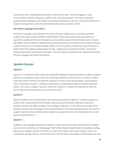and includes more complicated conversations in the Chinese store . The class engages in many communicative activities, play games, perform skits, and create projects. This class is conducted predominantly in Mandarin and students must speak in Mandarin at all times. At the end of Mandarin 4, students are expected to reach the intermediate high level as outlined by ACTFL.

# **AP Chinese Language and Culture**

AP Chinese Language is the equivalent of a fourth semester college course. Coursework provides students with opportunities to perform Intermediate to Advanced-leveled tasks and students are expected to achieve proficiencies throughout and sometimes beyond the Intermediate level. Students will explore themes related to contemporary and historical cultures. Students will use authentic Chinese materials and sources to develop multiple modes of communication, including two-way interactions in both writing and speaking, interpretation of audio, audiovisual, and printed materials, and oral and written presentation of information and ideas. The class prepares students for the Advanced Placement Chinese Language and Culture Examination.

# **Spanish Courses**

### **Spanish 1**

Spanish 1 is a comprehensive introduction to Spanish designed for beginning Spanish students. Students will learn to understand, speak, read, and write simple questions and sentences on a variety of topics. Proficiency-based methods and authentic materials are used to teach pronunciation, conversational skills, and grammar. Spanish 1 includes an introduction to contemporary Spanish and Latin American culture. This course is taught in Spanish. At the end of Spanish 1 students are expected to reach the novice high or intermediate low level as outlined by ACTFL.

# **Spanish 2**

Spanish 2 builds on the communication skills acquired successfully in Spanish 1. Students continue to practice their communication skills through contextualized and authentic readings and listening activities. Students are able to produce more language in Spanish 2, to tell stories and recount events. Students increase their knowledge of the cultural diversity of the Spanish-speaking world. This course is taught in Spanish. At the end of Spanish 2 students are expected to reach the intermediate low or mid level as outlined by ACTFL .

# **Spanish 3**

Building on the language skills learned in Spanish 1 and 2, Spanish 3 students will continue to develop oral and written proficiency in the language. There will be frequent opportunities for speaking, reading, listening and writing in Spanish. As fuel for our lively conversations we will look at topics such as art, relationships, driving, finances, and current events. We will look at these topics as they relate to our own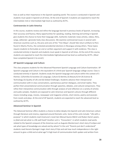lives as well as their importance in the Spanish-speaking world. The course is conducted in Spanish and students must speak in Spanish at all times. At the end of Spanish 3 students are expected to reach the intermediate mid or intermediate high level as outlined by ACTFL.

### **Controversies in Latin America**

In this course, students review and refine the language learned in previous levels of Spanish, increasing their accuracy and fluency. Many opportunities for speaking, reading, listening and writing in Spanish give students the chance to hone their language skills. Authentic materials–news articles, videos, films, songs, editorials– generate lively class discussions. We examine controversial issues in several Latin American countries such as, the pros and cons of the "Tren Maya", should Yale return artifacts to Perú found in Machu Picchu, the contested presidential elections in Nicaragua among others. These topics require students to formulate an oral or written argument and support it with evidence. This class is conducted entirely in Spanish and students must speak in Spanish at all times. At the end of this course, students are expected to reach the intermediate high/advanced low level as outlined by ACTFL. *(Must have completed Spanish 3 to enroll.)*

# **AP Spanish Language and Culture**

This class prepares students for the Advanced Placement Spanish Language and Culture Examination. AP Spanish Language and Culture is the equivalent of a third-year Spanish language college course. Class is conducted entirely in Spanish. Students study the Spanish language and culture within the context of 5 themes: (1)Families & Societies (2) Language, Culture & Identity (3) Beauty & Art (4) Science & Technology (5) Quality of Life and (6) Global Challenges. Students advance their interpersonal communication with in-class conversations, spontaneous partner dialogues, and email replies. They perfect their presentational communication through speeches, debates, and cultural comparisons. They refine their interpretive communication skills through analysis of and reflection on a variety of articles and audio samples. Students are exposed to Latin American and Spanish cultures through different means including songs, movies, newspaper and magazine articles, short stories, poetry and excerpts from novels and plays. At the end of AP Spanish, students are expected to reach the advanced level as outlined by ACTFL.

# **Advanced Seminar in Spanish**

The Advanced Seminar offers students a chance to delve deeply into Spanish and Latin American culture through literature and cinema, organized around thematic units. Some of the units include: "Life with a purpose" in which students read Unamuno's novel *San Manuel bueno Mártir* and Ruben Darío's poem, *Lo fatal* and ask what is a life well lived? Another unit is "Encounters", in which students read works related to the Spanish conquest of the Americas such as Augusto Monterroso's short story *El eclipse* and ask what types of knowledge are valued and by whom? In the unit "Parents just don't understand" students read Horario Quiroga's tragic short story *El hijo* and ask how much independence is the right amount to give a child and at what age? A high level of communication both spoken and written from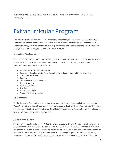students is expected. Students will continue to develop their proficiency at the advanced level as outlined by ACTFL.

# Extracurricular Program

*Students can extend their in-class learning through a variety of options: advanced individualized study opportunities, academic teams and enrichment courses. With the exception of Co-Curriculars, these extracurricular opportunities are offered primarily after school and on the weekends. Unless otherwise noted, the courses and programs listed below are non-credit.*

# **Afterschool Arts Program**

The San Domenico Arts Program offers a variety of non-credit enrichment courses. These activities occur most commonly after school, and the frequency and timing of meetings vary by year. These opportunities include (but are not limited to):

- Private Conservatory Music Lessons
- Ensemble: Chamber Music, Piano Ensemble, Flute Choir or Classical Guitar Ensemble
- San Domenico Singers
- Sinfonia
- Theatre Performance Workshop
- Dance Ensemble
- Beginning Pointe
- Hip Hop
- Intermediate Ballet
- Visual Arts Evening Elective

# **Co-Curriculars**

The Co-Curricular Program is a block of time integrated into the weekly schedule that is reserved for student interests and needs that are not otherwise represented in the official SD curriculum. The time is used for everything from opportunities for students to try sports that are new to them, such as lacrosse, to micro-courses in dance, cooking or archery.

# **Model United Nations**

San Domenico High School's Model United Nations delegation is the oldest program of all independent schools in Marin. Our students participate in both the Stanford and Berkeley conferences every year. In the last few years, our student delegates have won multiple research awards and one delegate award for research, presentation, and debate on topics such as containing the spread of contagious diseases, empowering women in the Middle East, increasing access to much needed healthcare in Africa, and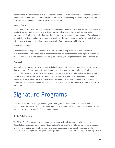responding to the proliferation of nuclear weapons. Model United Nations provides a meaningful forum for students with interests in international relations and problem-solving to collaborate, discuss, and interact with like-minded students from around the world.

# **Speech Team**

Speech Team is a competitive activity in which students can compete in over a dozen very unique events, ranging from impromptu speaking to acting to poetry and prose reading, as well as informative presentations. Students are judged against their competitors at tournaments, competing for a chance to compete in the final round of the tournament, and boost the overall team score. We compete in at least 4-5 tournaments each year, including tournaments hosted by Stanford and Berkeley.

### **Teacher Assistant**

A teacher assistant helps the instructor in the set-up and clean up of activities and performs other curricular related duties. Interested students should seek out the teacher for the subject of interest. If the schedule can work final approval will be given by the supervising teacher and Dean of Academics.

### **Yearbook**

Yearbook is an opportunity for students to collaborate with their peers and produce a piece of history that students, staff, and community members will be able to carry with them forever. Students help develop the theme and cover art. They also practice a wide range of skills including: writing stories for various events, taking photographs, conducting interviews, and learning an online graphic design program. We work under real financial deadlines and celebrate all of our successful submissions. Students on staff are first to view the final product and lead the distribution of yearbooks to the rest of the school.

# Signature Programs

*San Domenico seeks to develop unique, signature programming that addresses the personal development needs of students, encourages their academics and creative growth, and responds to the changing needs and demands of our 21st Century world.*

# **Digital Arts Program**

The Digital Arts Program empowers students to become active digital citizens. Within each course, students learn to decode contemporary texts and digital content, to use 21st century tools to engage with their worlds in meaningful ways, and to express their sense of purpose through real-world production. In the Digital Arts program, learning is personalized, collaboration is organic, and expertise is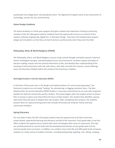synthesized into college level, interdisciplinary work. The Digital Arts Program exists at the intersection of technology, society, the arts, and humanity.

# **Game Design Academy**

The Game Academy is a three-year program that gives students the experience of being a practicing member of the 3D video game industry. Students have the opportunity to focus on a branch of the industry, Software Engineering, Digital Art, or Narration Design. They learn the fundamentals of game design and simulations so that they can best function as professionals when they enter the field.

# **Philosophy, Ethics & World Religions (PEWR)**

The Philosophy, Ethics, and World Religions courses study cultural thought and belief systems, historical events, theological concepts, and philosophical issues and movements. Students explore principles of decision-making, inquire into the spiritual dimensions of life, and develop their understanding of the meaning of interconnections with self, with others, with God, and with the universe. Course offerings honor the diversity of beliefs within the context of the Dominican tradition.

# **Real Opportunities in Service Education (ROSE)**

A vital facet of the junior year is the design and implementation of a service learning project. San Domenico students are not simply "helping" by volunteering, or logging volunteer hours. The Real Opportunities for Service Education (ROSE) Project is a two-year commitment to an issue with reciprocal benefits for both the community and the student. The project begins when the student writes an Action Plan to choose a justice issue that will be the focus of their project. The student then identifies a group with which they will work or designs their own project. After completing their projects, the students present them at a special evening event that includes SD faculty and students, family and local community members.

# **Spring Discovery**

For one week in April, the 9th-12th grade students have the opportunity to do fully immersive, project-based, experiential learning and discovery outside of the classroom. Each grade takes a trip that offers students the opportunity to stretch their limits and deepen their sense of community. The trips are carefully planned to connect both with the developmental themes of each grade level and the common grade-level curriculum. In addition, our outdoor trips at the 9th and 10th grade levels introduce students to a wide variety of outdoor activities, including backpacking, kayaking, river rafting, camping,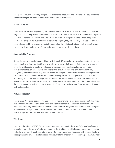hiking, canoeing, and snorkeling. No previous experience is required and activities are also provided to provide challenges for those students with more outdoor experience.

### **STEAM Program**

The Science Technology, Engineering, Art, and Math (STEAM) Program facilitates multidisciplinary and project-based learning across departments. Teachers across disciplines work with the STEAM Integration Specialist to generate innovative projects – many of which are completed in the 3D Lab, the physical heart of the program. As students work to complete projects, they are encouraged to use not only the knowledge gained from coursework but also to develop the skills to solve tough problems, gather and evaluate evidence, make sense of information and design innovative solutions.

### **Sustainability Program**

Our ecoliteracy program is integrated into the K through 12 curriculum with environmental education, engagement, and stewardship at the core of who we are and what we do. SD's 515 acres and faculty counsel provide students the time and space to work and learn outdoors, allowing for a natural development of reverence, respect, and care for the land. Here students learn to think critically, analytically, and contextually using real life, hands-on, integrated projects to solve real world problems. Ecoliteracy at San Domenico means our students develop a sense of their place on the land, in our community, and in the world at large. We continue to push the boundaries, to explore where we can reduce our ecological footprint and educate globally minded citizens. Students in the Upper School have the opportunity to participate in our Sustainability Program by joining Green Team and co-curriculars, such as Gardening.

# **Virtuoso Program**

The Virtuoso Program is designed for Upper School students who are exploring their potential as string musicians and wish to dedicate themselves to a rigorous academic and musical curriculum. San Domenico is the only upper school in the nation that offers an integrated and intensive music program, combined with college preparatory academics, that prepares students for music careers. Limited enrollment guarantees personal attention for every student.

# **Wayfinder**

Starting in the winter of 2019, San Domenico partnered with Stanford d.School's Project Wayfinder, a curriculum that utilizes a wayfinding metaphor—using traditional and indigenous navigation techniques and skills to journey through the natural world—to equip students and teachers with tools and skills to create purposeful lives. This collaboration has brought forth another layer of learning, as the Wayfinder